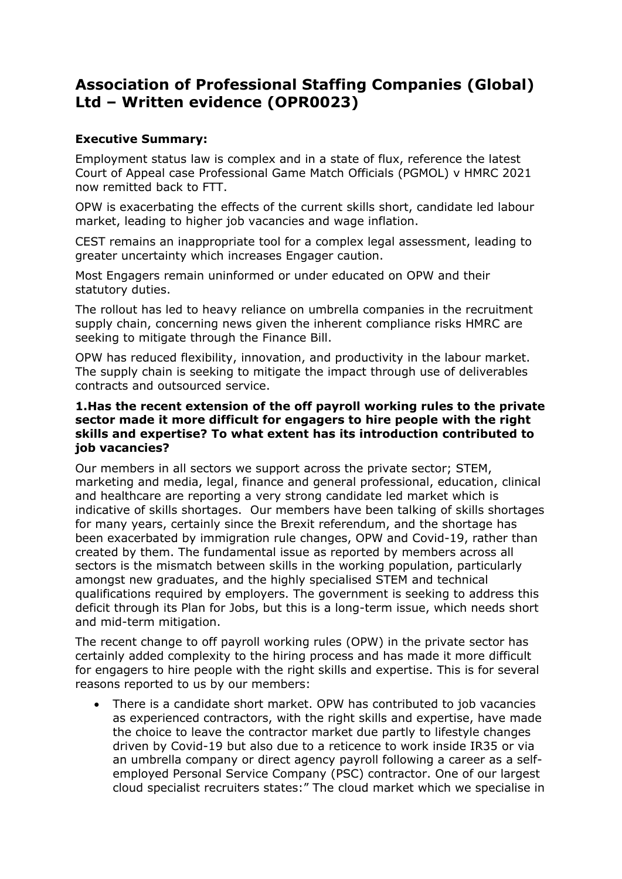# **Association of Professional Staffing Companies (Global) Ltd – Written evidence (OPR0023)**

## **Executive Summary:**

Employment status law is complex and in a state of flux, reference the latest Court of Appeal case Professional Game Match Officials (PGMOL) v HMRC 2021 now remitted back to FTT.

OPW is exacerbating the effects of the current skills short, candidate led labour market, leading to higher job vacancies and wage inflation.

CEST remains an inappropriate tool for a complex legal assessment, leading to greater uncertainty which increases Engager caution.

Most Engagers remain uninformed or under educated on OPW and their statutory duties.

The rollout has led to heavy reliance on umbrella companies in the recruitment supply chain, concerning news given the inherent compliance risks HMRC are seeking to mitigate through the Finance Bill.

OPW has reduced flexibility, innovation, and productivity in the labour market. The supply chain is seeking to mitigate the impact through use of deliverables contracts and outsourced service.

## **1.Has the recent extension of the off payroll working rules to the private sector made it more difficult for engagers to hire people with the right skills and expertise? To what extent has its introduction contributed to job vacancies?**

Our members in all sectors we support across the private sector; STEM, marketing and media, legal, finance and general professional, education, clinical and healthcare are reporting a very strong candidate led market which is indicative of skills shortages. Our members have been talking of skills shortages for many years, certainly since the Brexit referendum, and the shortage has been exacerbated by immigration rule changes, OPW and Covid-19, rather than created by them. The fundamental issue as reported by members across all sectors is the mismatch between skills in the working population, particularly amongst new graduates, and the highly specialised STEM and technical qualifications required by employers. The government is seeking to address this deficit through its Plan for Jobs, but this is a long-term issue, which needs short and mid-term mitigation.

The recent change to off payroll working rules (OPW) in the private sector has certainly added complexity to the hiring process and has made it more difficult for engagers to hire people with the right skills and expertise. This is for several reasons reported to us by our members:

 There is a candidate short market. OPW has contributed to job vacancies as experienced contractors, with the right skills and expertise, have made the choice to leave the contractor market due partly to lifestyle changes driven by Covid-19 but also due to a reticence to work inside IR35 or via an umbrella company or direct agency payroll following a career as a selfemployed Personal Service Company (PSC) contractor. One of our largest cloud specialist recruiters states:" The cloud market which we specialise in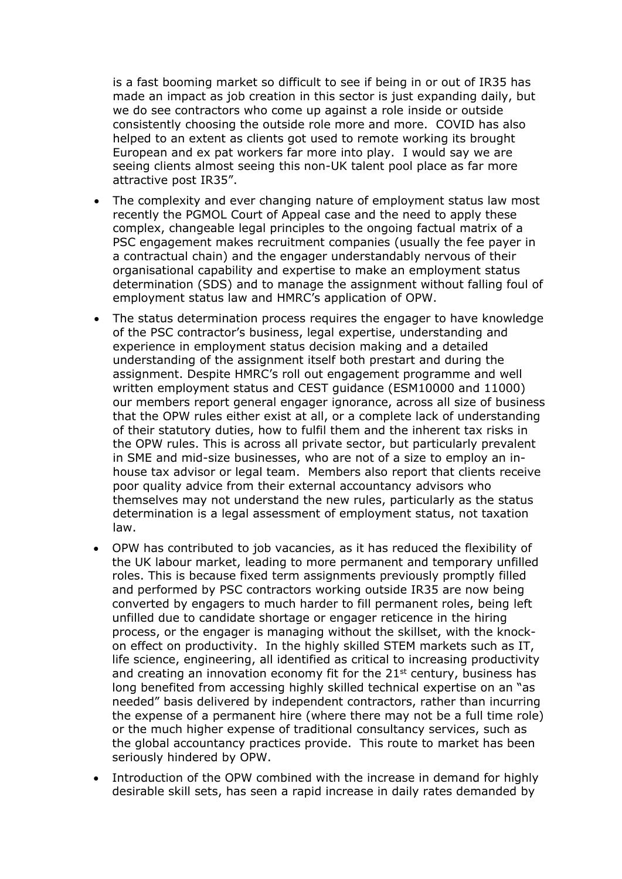is a fast booming market so difficult to see if being in or out of IR35 has made an impact as job creation in this sector is just expanding daily, but we do see contractors who come up against a role inside or outside consistently choosing the outside role more and more. COVID has also helped to an extent as clients got used to remote working its brought European and ex pat workers far more into play. I would say we are seeing clients almost seeing this non-UK talent pool place as far more attractive post IR35".

- The complexity and ever changing nature of employment status law most recently the PGMOL Court of Appeal case and the need to apply these complex, changeable legal principles to the ongoing factual matrix of a PSC engagement makes recruitment companies (usually the fee payer in a contractual chain) and the engager understandably nervous of their organisational capability and expertise to make an employment status determination (SDS) and to manage the assignment without falling foul of employment status law and HMRC's application of OPW.
- The status determination process requires the engager to have knowledge of the PSC contractor's business, legal expertise, understanding and experience in employment status decision making and a detailed understanding of the assignment itself both prestart and during the assignment. Despite HMRC's roll out engagement programme and well written employment status and CEST guidance (ESM10000 and 11000) our members report general engager ignorance, across all size of business that the OPW rules either exist at all, or a complete lack of understanding of their statutory duties, how to fulfil them and the inherent tax risks in the OPW rules. This is across all private sector, but particularly prevalent in SME and mid-size businesses, who are not of a size to employ an inhouse tax advisor or legal team. Members also report that clients receive poor quality advice from their external accountancy advisors who themselves may not understand the new rules, particularly as the status determination is a legal assessment of employment status, not taxation law.
- OPW has contributed to job vacancies, as it has reduced the flexibility of the UK labour market, leading to more permanent and temporary unfilled roles. This is because fixed term assignments previously promptly filled and performed by PSC contractors working outside IR35 are now being converted by engagers to much harder to fill permanent roles, being left unfilled due to candidate shortage or engager reticence in the hiring process, or the engager is managing without the skillset, with the knockon effect on productivity. In the highly skilled STEM markets such as IT, life science, engineering, all identified as critical to increasing productivity and creating an innovation economy fit for the  $21<sup>st</sup>$  century, business has long benefited from accessing highly skilled technical expertise on an "as needed" basis delivered by independent contractors, rather than incurring the expense of a permanent hire (where there may not be a full time role) or the much higher expense of traditional consultancy services, such as the global accountancy practices provide. This route to market has been seriously hindered by OPW.
- Introduction of the OPW combined with the increase in demand for highly desirable skill sets, has seen a rapid increase in daily rates demanded by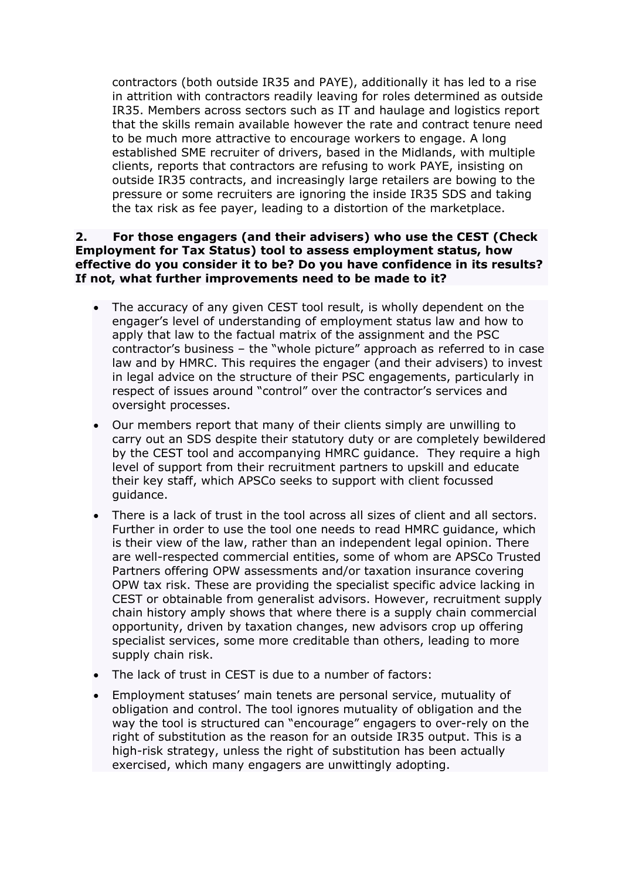contractors (both outside IR35 and PAYE), additionally it has led to a rise in attrition with contractors readily leaving for roles determined as outside IR35. Members across sectors such as IT and haulage and logistics report that the skills remain available however the rate and contract tenure need to be much more attractive to encourage workers to engage. A long established SME recruiter of drivers, based in the Midlands, with multiple clients, reports that contractors are refusing to work PAYE, insisting on outside IR35 contracts, and increasingly large retailers are bowing to the pressure or some recruiters are ignoring the inside IR35 SDS and taking the tax risk as fee payer, leading to a distortion of the marketplace.

## **2. For those engagers (and their advisers) who use the CEST (Check Employment for Tax Status) tool to assess employment status, how effective do you consider it to be? Do you have confidence in its results? If not, what further improvements need to be made to it?**

- The accuracy of any given CEST tool result, is wholly dependent on the engager's level of understanding of employment status law and how to apply that law to the factual matrix of the assignment and the PSC contractor's business – the "whole picture" approach as referred to in case law and by HMRC. This requires the engager (and their advisers) to invest in legal advice on the structure of their PSC engagements, particularly in respect of issues around "control" over the contractor's services and oversight processes.
- Our members report that many of their clients simply are unwilling to carry out an SDS despite their statutory duty or are completely bewildered by the CEST tool and accompanying HMRC guidance. They require a high level of support from their recruitment partners to upskill and educate their key staff, which APSCo seeks to support with client focussed guidance.
- There is a lack of trust in the tool across all sizes of client and all sectors. Further in order to use the tool one needs to read HMRC guidance, which is their view of the law, rather than an independent legal opinion. There are well-respected commercial entities, some of whom are APSCo Trusted Partners offering OPW assessments and/or taxation insurance covering OPW tax risk. These are providing the specialist specific advice lacking in CEST or obtainable from generalist advisors. However, recruitment supply chain history amply shows that where there is a supply chain commercial opportunity, driven by taxation changes, new advisors crop up offering specialist services, some more creditable than others, leading to more supply chain risk.
- The lack of trust in CEST is due to a number of factors:
- Employment statuses' main tenets are personal service, mutuality of obligation and control. The tool ignores mutuality of obligation and the way the tool is structured can "encourage" engagers to over-rely on the right of substitution as the reason for an outside IR35 output. This is a high-risk strategy, unless the right of substitution has been actually exercised, which many engagers are unwittingly adopting.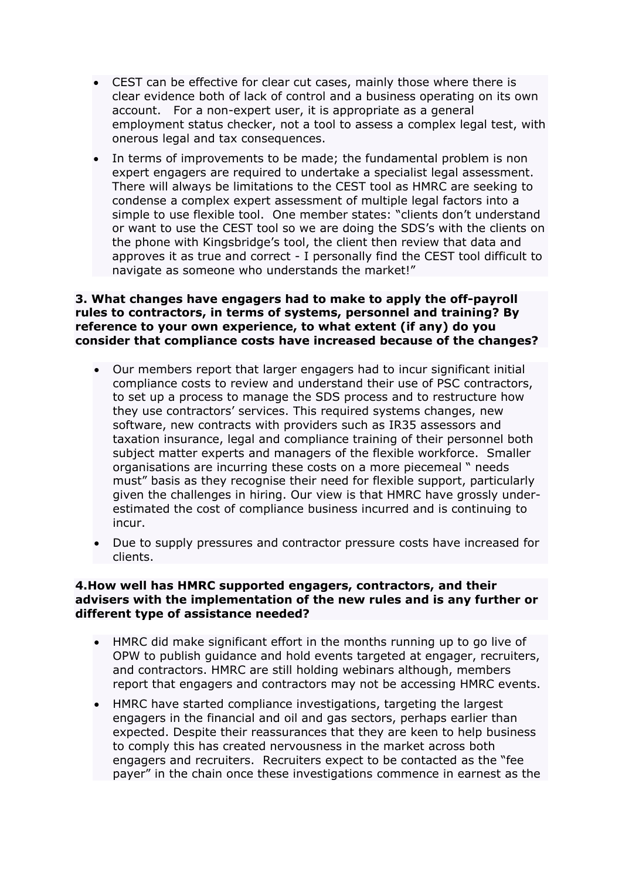- CEST can be effective for clear cut cases, mainly those where there is clear evidence both of lack of control and a business operating on its own account. For a non-expert user, it is appropriate as a general employment status checker, not a tool to assess a complex legal test, with onerous legal and tax consequences.
- In terms of improvements to be made; the fundamental problem is non expert engagers are required to undertake a specialist legal assessment. There will always be limitations to the CEST tool as HMRC are seeking to condense a complex expert assessment of multiple legal factors into a simple to use flexible tool. One member states: "clients don't understand or want to use the CEST tool so we are doing the SDS's with the clients on the phone with Kingsbridge's tool, the client then review that data and approves it as true and correct - I personally find the CEST tool difficult to navigate as someone who understands the market!"

## **3. What changes have engagers had to make to apply the off-payroll rules to contractors, in terms of systems, personnel and training? By reference to your own experience, to what extent (if any) do you consider that compliance costs have increased because of the changes?**

- Our members report that larger engagers had to incur significant initial compliance costs to review and understand their use of PSC contractors, to set up a process to manage the SDS process and to restructure how they use contractors' services. This required systems changes, new software, new contracts with providers such as IR35 assessors and taxation insurance, legal and compliance training of their personnel both subject matter experts and managers of the flexible workforce. Smaller organisations are incurring these costs on a more piecemeal " needs must" basis as they recognise their need for flexible support, particularly given the challenges in hiring. Our view is that HMRC have grossly underestimated the cost of compliance business incurred and is continuing to incur.
- Due to supply pressures and contractor pressure costs have increased for clients.

#### **4.How well has HMRC supported engagers, contractors, and their advisers with the implementation of the new rules and is any further or different type of assistance needed?**

- HMRC did make significant effort in the months running up to go live of OPW to publish guidance and hold events targeted at engager, recruiters, and contractors. HMRC are still holding webinars although, members report that engagers and contractors may not be accessing HMRC events.
- HMRC have started compliance investigations, targeting the largest engagers in the financial and oil and gas sectors, perhaps earlier than expected. Despite their reassurances that they are keen to help business to comply this has created nervousness in the market across both engagers and recruiters. Recruiters expect to be contacted as the "fee payer" in the chain once these investigations commence in earnest as the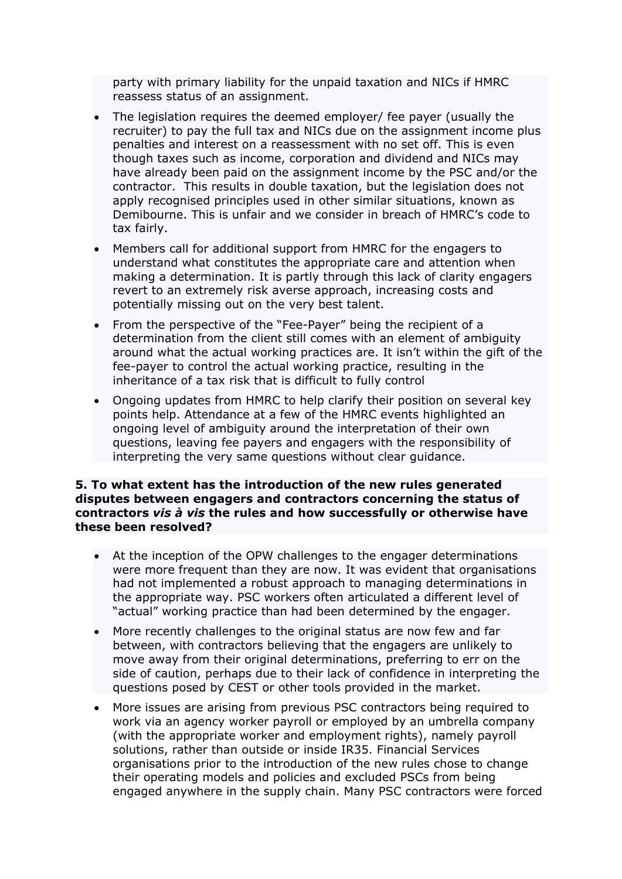party with primary liability for the unpaid taxation and NICs if HMRC reassess status of an assignment.

- The legislation requires the deemed employer/ fee payer (usually the recruiter) to pay the full tax and NICs due on the assignment income plus penalties and interest on a reassessment with no set off. This is even though taxes such as income, corporation and dividend and NICs may have already been paid on the assignment income by the PSC and/or the contractor. This results in double taxation, but the legislation does not apply recognised principles used in other similar situations, known as Demibourne. This is unfair and we consider in breach of HMRC's code to tax fairly.
- Members call for additional support from HMRC for the engagers to understand what constitutes the appropriate care and attention when making a determination. It is partly through this lack of clarity engagers revert to an extremely risk averse approach, increasing costs and potentially missing out on the very best talent.
- From the perspective of the "Fee-Payer" being the recipient of a determination from the client still comes with an element of ambiguity around what the actual working practices are. It isn't within the gift of the fee-payer to control the actual working practice, resulting in the inheritance of a tax risk that is difficult to fully control
- Ongoing updates from HMRC to help clarify their position on several key points help. Attendance at a few of the HMRC events highlighted an ongoing level of ambiguity around the interpretation of their own questions, leaving fee payers and engagers with the responsibility of interpreting the very same questions without clear guidance.

## **5. To what extent has the introduction of the new rules generated disputes between engagers and contractors concerning the status of contractors** *vis à vis* **the rules and how successfully or otherwise have these been resolved?**

- At the inception of the OPW challenges to the engager determinations were more frequent than they are now. It was evident that organisations had not implemented a robust approach to managing determinations in the appropriate way. PSC workers often articulated a different level of "actual" working practice than had been determined by the engager.
- More recently challenges to the original status are now few and far between, with contractors believing that the engagers are unlikely to move away from their original determinations, preferring to err on the side of caution, perhaps due to their lack of confidence in interpreting the questions posed by CEST or other tools provided in the market.
- More issues are arising from previous PSC contractors being required to work via an agency worker payroll or employed by an umbrella company (with the appropriate worker and employment rights), namely payroll solutions, rather than outside or inside IR35. Financial Services organisations prior to the introduction of the new rules chose to change their operating models and policies and excluded PSCs from being engaged anywhere in the supply chain. Many PSC contractors were forced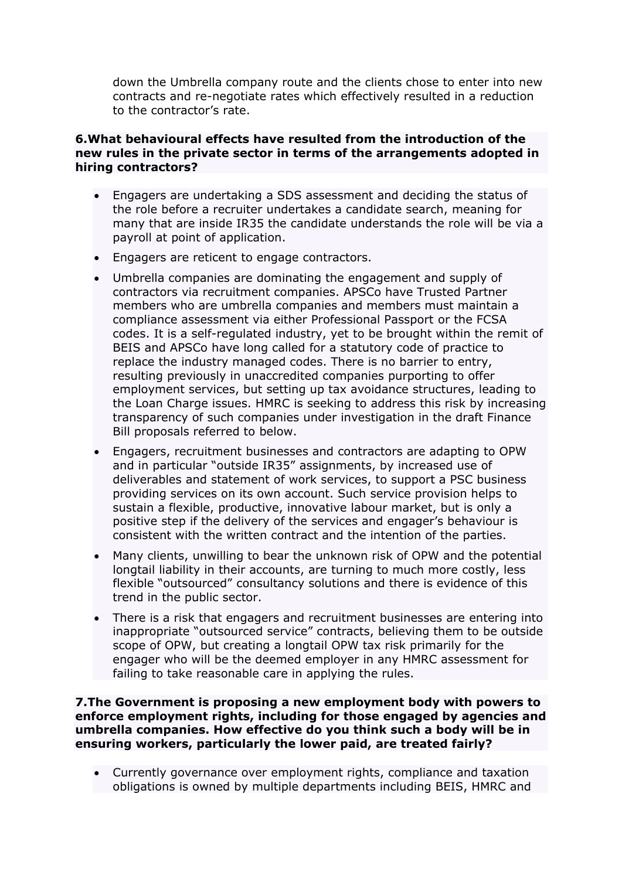down the Umbrella company route and the clients chose to enter into new contracts and re-negotiate rates which effectively resulted in a reduction to the contractor's rate.

## **6.What behavioural effects have resulted from the introduction of the new rules in the private sector in terms of the arrangements adopted in hiring contractors?**

- Engagers are undertaking a SDS assessment and deciding the status of the role before a recruiter undertakes a candidate search, meaning for many that are inside IR35 the candidate understands the role will be via a payroll at point of application.
- Engagers are reticent to engage contractors.
- Umbrella companies are dominating the engagement and supply of contractors via recruitment companies. APSCo have Trusted Partner members who are umbrella companies and members must maintain a compliance assessment via either Professional Passport or the FCSA codes. It is a self-regulated industry, yet to be brought within the remit of BEIS and APSCo have long called for a statutory code of practice to replace the industry managed codes. There is no barrier to entry, resulting previously in unaccredited companies purporting to offer employment services, but setting up tax avoidance structures, leading to the Loan Charge issues. HMRC is seeking to address this risk by increasing transparency of such companies under investigation in the draft Finance Bill proposals referred to below.
- Engagers, recruitment businesses and contractors are adapting to OPW and in particular "outside IR35" assignments, by increased use of deliverables and statement of work services, to support a PSC business providing services on its own account. Such service provision helps to sustain a flexible, productive, innovative labour market, but is only a positive step if the delivery of the services and engager's behaviour is consistent with the written contract and the intention of the parties.
- Many clients, unwilling to bear the unknown risk of OPW and the potential longtail liability in their accounts, are turning to much more costly, less flexible "outsourced" consultancy solutions and there is evidence of this trend in the public sector.
- There is a risk that engagers and recruitment businesses are entering into inappropriate "outsourced service" contracts, believing them to be outside scope of OPW, but creating a longtail OPW tax risk primarily for the engager who will be the deemed employer in any HMRC assessment for failing to take reasonable care in applying the rules.

**7.The Government is proposing a new employment body with powers to enforce employment rights, including for those engaged by agencies and umbrella companies. How effective do you think such a body will be in ensuring workers, particularly the lower paid, are treated fairly?**

 Currently governance over employment rights, compliance and taxation obligations is owned by multiple departments including BEIS, HMRC and